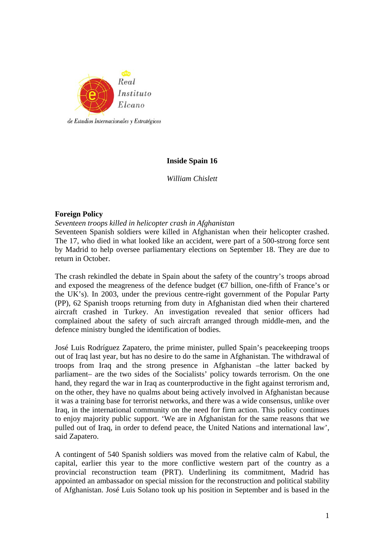

# **Inside Spain 16**

*William Chislett* 

### **Foreign Policy**

*Seventeen troops killed in helicopter crash in Afghanistan* 

Seventeen Spanish soldiers were killed in Afghanistan when their helicopter crashed. The 17, who died in what looked like an accident, were part of a 500-strong force sent by Madrid to help oversee parliamentary elections on September 18. They are due to return in October.

The crash rekindled the debate in Spain about the safety of the country's troops abroad and exposed the meagreness of the defence budget ( $\epsilon$ ) billion, one-fifth of France's or the UK's). In 2003, under the previous centre-right government of the Popular Party (PP), 62 Spanish troops returning from duty in Afghanistan died when their chartered aircraft crashed in Turkey. An investigation revealed that senior officers had complained about the safety of such aircraft arranged through middle-men, and the defence ministry bungled the identification of bodies.

José Luis Rodríguez Zapatero, the prime minister, pulled Spain's peacekeeping troops out of Iraq last year, but has no desire to do the same in Afghanistan. The withdrawal of troops from Iraq and the strong presence in Afghanistan –the latter backed by parliament– are the two sides of the Socialists' policy towards terrorism. On the one hand, they regard the war in Iraq as counterproductive in the fight against terrorism and, on the other, they have no qualms about being actively involved in Afghanistan because it was a training base for terrorist networks, and there was a wide consensus, unlike over Iraq, in the international community on the need for firm action. This policy continues to enjoy majority public support. 'We are in Afghanistan for the same reasons that we pulled out of Iraq, in order to defend peace, the United Nations and international law', said Zapatero.

A contingent of 540 Spanish soldiers was moved from the relative calm of Kabul, the capital, earlier this year to the more conflictive western part of the country as a provincial reconstruction team (PRT). Underlining its commitment, Madrid has appointed an ambassador on special mission for the reconstruction and political stability of Afghanistan. José Luis Solano took up his position in September and is based in the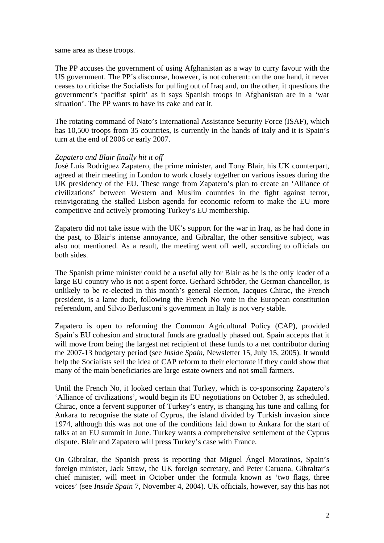same area as these troops.

The PP accuses the government of using Afghanistan as a way to curry favour with the US government. The PP's discourse, however, is not coherent: on the one hand, it never ceases to criticise the Socialists for pulling out of Iraq and, on the other, it questions the government's 'pacifist spirit' as it says Spanish troops in Afghanistan are in a 'war situation'. The PP wants to have its cake and eat it.

The rotating command of Nato's International Assistance Security Force (ISAF), which has 10,500 troops from 35 countries, is currently in the hands of Italy and it is Spain's turn at the end of 2006 or early 2007.

# *Zapatero and Blair finally hit it off*

José Luis Rodríguez Zapatero, the prime minister, and Tony Blair, his UK counterpart, agreed at their meeting in London to work closely together on various issues during the UK presidency of the EU. These range from Zapatero's plan to create an 'Alliance of civilizations' between Western and Muslim countries in the fight against terror, reinvigorating the stalled Lisbon agenda for economic reform to make the EU more competitive and actively promoting Turkey's EU membership.

Zapatero did not take issue with the UK's support for the war in Iraq, as he had done in the past, to Blair's intense annoyance, and Gibraltar, the other sensitive subject, was also not mentioned. As a result, the meeting went off well, according to officials on both sides.

The Spanish prime minister could be a useful ally for Blair as he is the only leader of a large EU country who is not a spent force. Gerhard Schröder, the German chancellor, is unlikely to be re-elected in this month's general election, Jacques Chirac, the French president, is a lame duck, following the French No vote in the European constitution referendum, and Silvio Berlusconi's government in Italy is not very stable.

Zapatero is open to reforming the Common Agricultural Policy (CAP), provided Spain's EU cohesion and structural funds are gradually phased out. Spain accepts that it will move from being the largest net recipient of these funds to a net contributor during the 2007-13 budgetary period (see *Inside Spain*, Newsletter 15, July 15, 2005). It would help the Socialists sell the idea of CAP reform to their electorate if they could show that many of the main beneficiaries are large estate owners and not small farmers.

Until the French No, it looked certain that Turkey, which is co-sponsoring Zapatero's 'Alliance of civilizations', would begin its EU negotiations on October 3, as scheduled. Chirac, once a fervent supporter of Turkey's entry, is changing his tune and calling for Ankara to recognise the state of Cyprus, the island divided by Turkish invasion since 1974, although this was not one of the conditions laid down to Ankara for the start of talks at an EU summit in June. Turkey wants a comprehensive settlement of the Cyprus dispute. Blair and Zapatero will press Turkey's case with France.

On Gibraltar, the Spanish press is reporting that Miguel Ángel Moratinos, Spain's foreign minister, Jack Straw, the UK foreign secretary, and Peter Caruana, Gibraltar's chief minister, will meet in October under the formula known as 'two flags, three voices' (see *Inside Spain* 7, November 4, 2004). UK officials, however, say this has not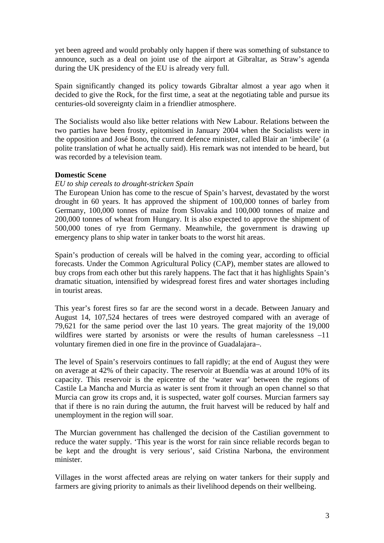yet been agreed and would probably only happen if there was something of substance to announce, such as a deal on joint use of the airport at Gibraltar, as Straw's agenda during the UK presidency of the EU is already very full.

Spain significantly changed its policy towards Gibraltar almost a year ago when it decided to give the Rock, for the first time, a seat at the negotiating table and pursue its centuries-old sovereignty claim in a friendlier atmosphere.

The Socialists would also like better relations with New Labour. Relations between the two parties have been frosty, epitomised in January 2004 when the Socialists were in the opposition and José Bono, the current defence minister, called Blair an 'imbecile' (a polite translation of what he actually said). His remark was not intended to be heard, but was recorded by a television team.

### **Domestic Scene**

### *EU to ship cereals to drought-stricken Spain*

The European Union has come to the rescue of Spain's harvest, devastated by the worst drought in 60 years. It has approved the shipment of 100,000 tonnes of barley from Germany, 100,000 tonnes of maize from Slovakia and 100,000 tonnes of maize and 200,000 tonnes of wheat from Hungary. It is also expected to approve the shipment of 500,000 tones of rye from Germany. Meanwhile, the government is drawing up emergency plans to ship water in tanker boats to the worst hit areas.

Spain's production of cereals will be halved in the coming year, according to official forecasts. Under the Common Agricultural Policy (CAP), member states are allowed to buy crops from each other but this rarely happens. The fact that it has highlights Spain's dramatic situation, intensified by widespread forest fires and water shortages including in tourist areas.

This year's forest fires so far are the second worst in a decade. Between January and August 14, 107,524 hectares of trees were destroyed compared with an average of 79,621 for the same period over the last 10 years. The great majority of the 19,000 wildfires were started by arsonists or were the results of human carelessness  $-11$ voluntary firemen died in one fire in the province of Guadalajara–.

The level of Spain's reservoirs continues to fall rapidly; at the end of August they were on average at 42% of their capacity. The reservoir at Buendía was at around 10% of its capacity. This reservoir is the epicentre of the 'water war' between the regions of Castile La Mancha and Murcia as water is sent from it through an open channel so that Murcia can grow its crops and, it is suspected, water golf courses. Murcian farmers say that if there is no rain during the autumn, the fruit harvest will be reduced by half and unemployment in the region will soar.

The Murcian government has challenged the decision of the Castilian government to reduce the water supply. 'This year is the worst for rain since reliable records began to be kept and the drought is very serious', said Cristina Narbona, the environment minister.

Villages in the worst affected areas are relying on water tankers for their supply and farmers are giving priority to animals as their livelihood depends on their wellbeing.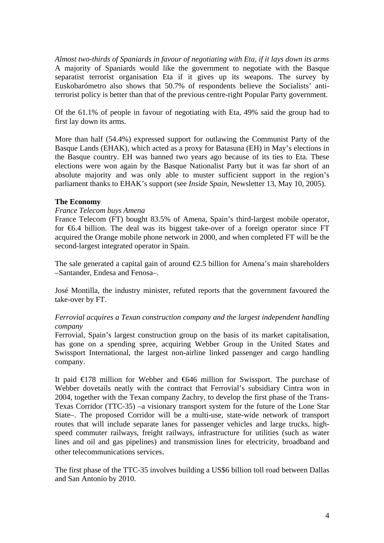*Almost two-thirds of Spaniards in favour of negotiating with Eta, if it lays down its arms*  A majority of Spaniards would like the government to negotiate with the Basque separatist terrorist organisation Eta if it gives up its weapons. The survey by Euskobarómetro also shows that 50.7% of respondents believe the Socialists' antiterrorist policy is better than that of the previous centre-right Popular Party government.

Of the 61.1% of people in favour of negotiating with Eta, 49% said the group had to first lay down its arms.

More than half (54.4%) expressed support for outlawing the Communist Party of the Basque Lands (EHAK), which acted as a proxy for Batasuna (EH) in May's elections in the Basque country. EH was banned two years ago because of its ties to Eta. These elections were won again by the Basque Nationalist Party but it was far short of an absolute majority and was only able to muster sufficient support in the region's parliament thanks to EHAK's support (see *Inside Spain*, Newsletter 13, May 10, 2005).

# **The Economy**

### *France Telecom buys Amena*

France Telecom (FT) bought 83.5% of Amena, Spain's third-largest mobile operator, for  $66.4$  billion. The deal was its biggest take-over of a foreign operator since FT acquired the Orange mobile phone network in 2000, and when completed FT will be the second-largest integrated operator in Spain.

The sale generated a capital gain of around  $\epsilon$ 2.5 billion for Amena's main shareholders –Santander, Endesa and Fenosa–.

José Montilla, the industry minister, refuted reports that the government favoured the take-over by FT.

# *Ferrovial acquires a Texan construction company and the largest independent handling company*

Ferrovial, Spain's largest construction group on the basis of its market capitalisation, has gone on a spending spree, acquiring Webber Group in the United States and Swissport International, the largest non-airline linked passenger and cargo handling company.

It paid €178 million for Webber and €646 million for Swissport. The purchase of Webber dovetails neatly with the contract that Ferrovial's subsidiary Cintra won in 2004, together with the Texan company Zachry, to develop the first phase of the Trans-Texas Corridor (TTC-35) –a visionary transport system for the future of the Lone Star State–. The proposed Corridor will be a multi-use, state-wide network of transport routes that will include separate lanes for passenger vehicles and large trucks, highspeed commuter railways, freight railways, infrastructure for utilities (such as water lines and oil and gas pipelines) and transmission lines for electricity, broadband and other telecommunications services.

The first phase of the TTC-35 involves building a US\$6 billion toll road between Dallas and San Antonio by 2010.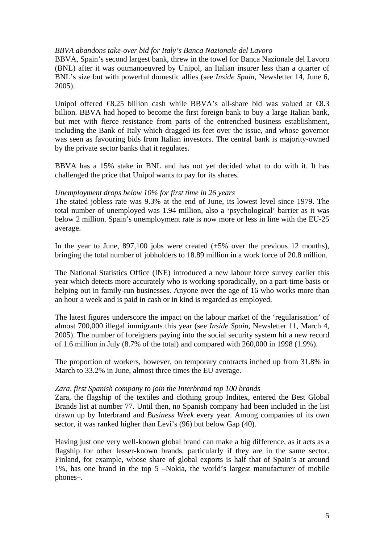### *BBVA abandons take-over bid for Italy's Banca Nazionale del Lavoro*

BBVA, Spain's second largest bank, threw in the towel for Banca Nazionale del Lavoro (BNL) after it was outmanoeuvred by Unipol, an Italian insurer less than a quarter of BNL's size but with powerful domestic allies (see *Inside Spain*, Newsletter 14, June 6, 2005).

Unipol offered  $\Theta$ .25 billion cash while BBVA's all-share bid was valued at  $\Theta$ .3 billion. BBVA had hoped to become the first foreign bank to buy a large Italian bank, but met with fierce resistance from parts of the entrenched business establishment, including the Bank of Italy which dragged its feet over the issue, and whose governor was seen as favouring bids from Italian investors. The central bank is majority-owned by the private sector banks that it regulates.

BBVA has a 15% stake in BNL and has not yet decided what to do with it. It has challenged the price that Unipol wants to pay for its shares.

### *Unemployment drops below 10% for first time in 26 years*

The stated jobless rate was 9.3% at the end of June, its lowest level since 1979. The total number of unemployed was 1.94 million, also a 'psychological' barrier as it was below 2 million. Spain's unemployment rate is now more or less in line with the EU-25 average.

In the year to June, 897,100 jobs were created  $(+5\%$  over the previous 12 months), bringing the total number of jobholders to 18.89 million in a work force of 20.8 million.

The National Statistics Office (INE) introduced a new labour force survey earlier this year which detects more accurately who is working sporadically, on a part-time basis or helping out in family-run businesses. Anyone over the age of 16 who works more than an hour a week and is paid in cash or in kind is regarded as employed.

The latest figures underscore the impact on the labour market of the 'regularisation' of almost 700,000 illegal immigrants this year (see *Inside Spain*, Newsletter 11, March 4, 2005). The number of foreigners paying into the social security system hit a new record of 1.6 million in July (8.7% of the total) and compared with 260,000 in 1998 (1.9%).

The proportion of workers, however, on temporary contracts inched up from 31.8% in March to 33.2% in June, almost three times the EU average.

### *Zara, first Spanish company to join the Interbrand top 100 brands*

Zara, the flagship of the textiles and clothing group Inditex, entered the Best Global Brands list at number 77. Until then, no Spanish company had been included in the list drawn up by Interbrand and *Business Week* every year. Among companies of its own sector, it was ranked higher than Levi's (96) but below Gap (40).

Having just one very well-known global brand can make a big difference, as it acts as a flagship for other lesser-known brands, particularly if they are in the same sector. Finland, for example, whose share of global exports is half that of Spain's at around 1%, has one brand in the top 5 –Nokia, the world's largest manufacturer of mobile phones–.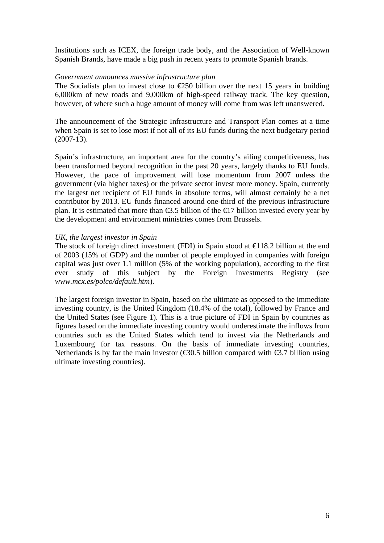Institutions such as ICEX, the foreign trade body, and the Association of Well-known Spanish Brands, have made a big push in recent years to promote Spanish brands.

### *Government announces massive infrastructure plan*

The Socialists plan to invest close to  $\epsilon$ 250 billion over the next 15 years in building 6,000km of new roads and 9,000km of high-speed railway track. The key question, however, of where such a huge amount of money will come from was left unanswered.

The announcement of the Strategic Infrastructure and Transport Plan comes at a time when Spain is set to lose most if not all of its EU funds during the next budgetary period  $(2007-13)$ .

Spain's infrastructure, an important area for the country's ailing competitiveness, has been transformed beyond recognition in the past 20 years, largely thanks to EU funds. However, the pace of improvement will lose momentum from 2007 unless the government (via higher taxes) or the private sector invest more money. Spain, currently the largest net recipient of EU funds in absolute terms, will almost certainly be a net contributor by 2013. EU funds financed around one-third of the previous infrastructure plan. It is estimated that more than  $\epsilon$ 3.5 billion of the  $\epsilon$ 17 billion invested every year by the development and environment ministries comes from Brussels.

### *UK, the largest investor in Spain*

The stock of foreign direct investment (FDI) in Spain stood at €118.2 billion at the end of 2003 (15% of GDP) and the number of people employed in companies with foreign capital was just over 1.1 million (5% of the working population), according to the first ever study of this subject by the Foreign Investments Registry (see *www.mcx.es/polco/default.htm*).

The largest foreign investor in Spain, based on the ultimate as opposed to the immediate investing country, is the United Kingdom (18.4% of the total), followed by France and the United States (see Figure 1). This is a true picture of FDI in Spain by countries as figures based on the immediate investing country would underestimate the inflows from countries such as the United States which tend to invest via the Netherlands and Luxembourg for tax reasons. On the basis of immediate investing countries, Netherlands is by far the main investor ( $\epsilon$ 30.5 billion compared with  $\epsilon$ 3.7 billion using ultimate investing countries).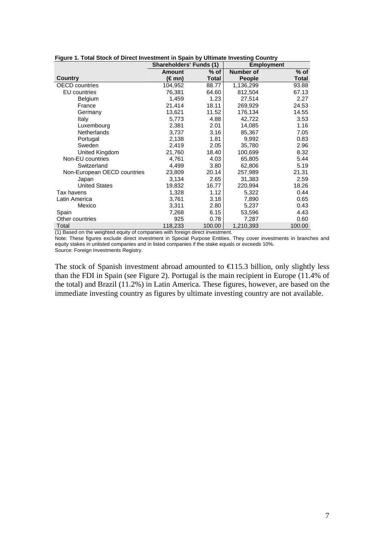| Figure 1. Total Stock of Direct Investment in Spain by Ultimate Investing Country |                                |              |               |                   |  |  |  |  |
|-----------------------------------------------------------------------------------|--------------------------------|--------------|---------------|-------------------|--|--|--|--|
|                                                                                   | <b>Shareholders' Funds (1)</b> |              |               | <b>Employment</b> |  |  |  |  |
|                                                                                   | <b>Amount</b>                  | % of         | Number of     | $%$ of            |  |  |  |  |
| Country                                                                           | (€mn)                          | <b>Total</b> | <b>People</b> | <b>Total</b>      |  |  |  |  |
| <b>OECD</b> countries                                                             | 104,952                        | 88.77        | 1,136,299     | 93.88             |  |  |  |  |
| EU countries                                                                      | 76,381                         | 64.60        | 812,504       | 67.13             |  |  |  |  |
| Belgium                                                                           | 1,459                          | 1.23         | 27,514        | 2.27              |  |  |  |  |
| France                                                                            | 21,414                         | 18.11        | 269,929       | 24.53             |  |  |  |  |
| Germany                                                                           | 13,621                         | 11.52        | 176,134       | 14.55             |  |  |  |  |
| Italy                                                                             | 5,773                          | 4.88         | 42,722        | 3.53              |  |  |  |  |
| Luxembourg                                                                        | 2,381                          | 2.01         | 14,085        | 1.16              |  |  |  |  |
| Netherlands                                                                       | 3,737                          | 3.16         | 85,367        | 7.05              |  |  |  |  |
| Portugal                                                                          | 2,138                          | 1.81         | 9,992         | 0.83              |  |  |  |  |
| Sweden                                                                            | 2,419                          | 2.05         | 35,780        | 2.96              |  |  |  |  |
| United Kingdom                                                                    | 21,760                         | 18.40        | 100,699       | 8.32              |  |  |  |  |
| Non-EU countries                                                                  | 4,761                          | 4.03         | 65,805        | 5.44              |  |  |  |  |
| Switzerland                                                                       | 4,499                          | 3.80         | 62,806        | 5.19              |  |  |  |  |
| Non-European OECD countries                                                       | 23,809                         | 20.14        | 257,989       | 21.31             |  |  |  |  |
| Japan                                                                             | 3,134                          | 2.65         | 31,383        | 2.59              |  |  |  |  |
| <b>United States</b>                                                              | 19,832                         | 16.77        | 220,994       | 18.26             |  |  |  |  |
| Tax havens                                                                        | 1,328                          | 1.12         | 5,322         | 0.44              |  |  |  |  |
| Latin America                                                                     | 3,761                          | 3.18         | 7,890         | 0.65              |  |  |  |  |
| Mexico                                                                            | 3,311                          | 2.80         | 5,237         | 0.43              |  |  |  |  |
| Spain                                                                             | 7,268                          | 6.15         | 53,596        | 4.43              |  |  |  |  |
| Other countries                                                                   | 925                            | 0.78         | 7,287         | 0.60              |  |  |  |  |
| Total                                                                             | 118,233                        | 100.00       | 1,210,393     | 100.00            |  |  |  |  |

**Figure 1. Total Stock of Direct Investment in Spain by Ultimate Investing Country**

(1) Based on the weighted equity of companies with foreign direct investment. Note: These figures exclude direct investment in Special Purpose Entities. They cover investments in branches and equity stakes in unlisted companies and in listed companies if the stake equals or exceeds 10%. Source: Foreign Investments Registry.

The stock of Spanish investment abroad amounted to  $\in$  15.3 billion, only slightly less than the FDI in Spain (see Figure 2). Portugal is the main recipient in Europe (11.4% of the total) and Brazil (11.2%) in Latin America. These figures, however, are based on the immediate investing country as figures by ultimate investing country are not available.